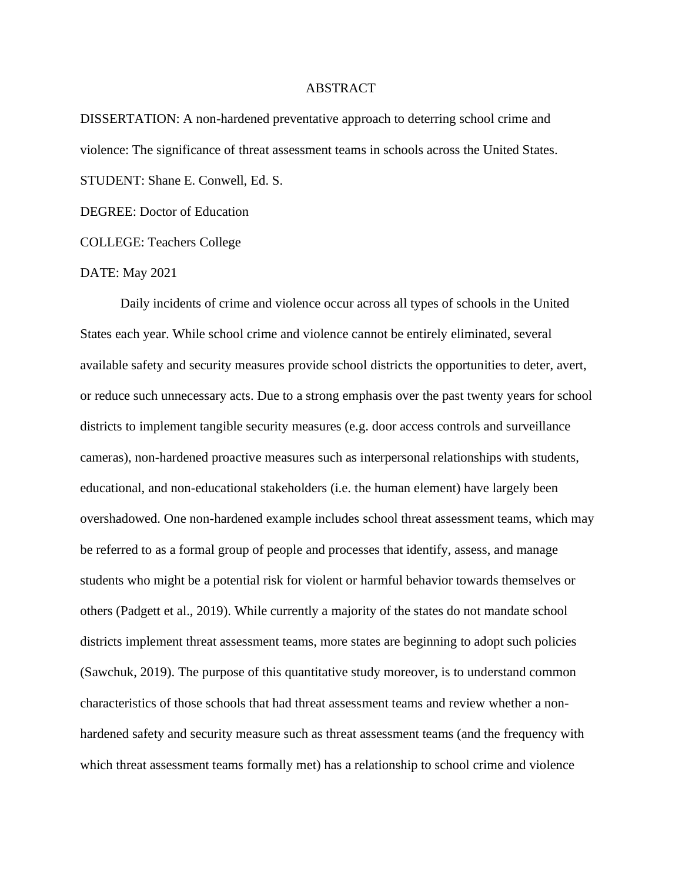## ABSTRACT

DISSERTATION: A non-hardened preventative approach to deterring school crime and violence: The significance of threat assessment teams in schools across the United States. STUDENT: Shane E. Conwell, Ed. S.

DEGREE: Doctor of Education

COLLEGE: Teachers College

## DATE: May 2021

Daily incidents of crime and violence occur across all types of schools in the United States each year. While school crime and violence cannot be entirely eliminated, several available safety and security measures provide school districts the opportunities to deter, avert, or reduce such unnecessary acts. Due to a strong emphasis over the past twenty years for school districts to implement tangible security measures (e.g. door access controls and surveillance cameras), non-hardened proactive measures such as interpersonal relationships with students, educational, and non-educational stakeholders (i.e. the human element) have largely been overshadowed. One non-hardened example includes school threat assessment teams, which may be referred to as a formal group of people and processes that identify, assess, and manage students who might be a potential risk for violent or harmful behavior towards themselves or others (Padgett et al., 2019). While currently a majority of the states do not mandate school districts implement threat assessment teams, more states are beginning to adopt such policies (Sawchuk, 2019). The purpose of this quantitative study moreover, is to understand common characteristics of those schools that had threat assessment teams and review whether a nonhardened safety and security measure such as threat assessment teams (and the frequency with which threat assessment teams formally met) has a relationship to school crime and violence